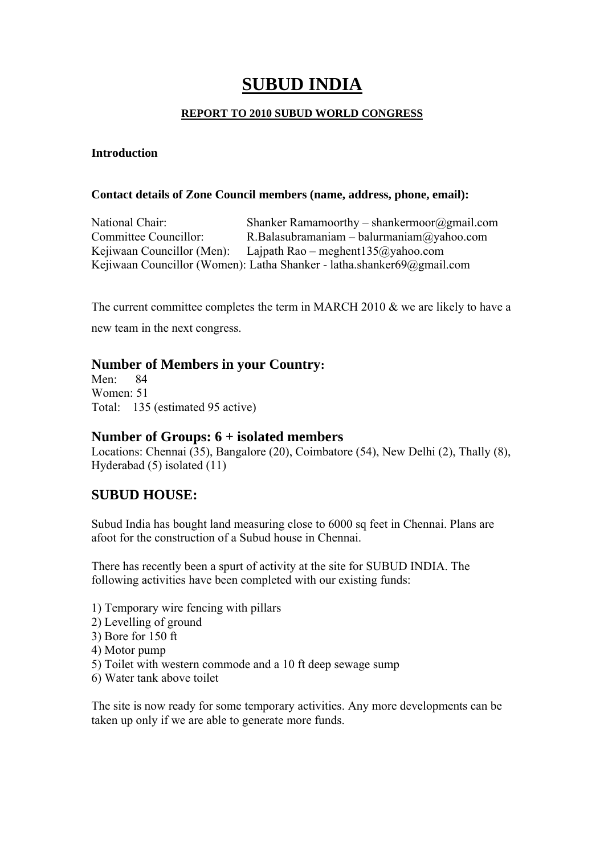# **SUBUD INDIA**

### **REPORT TO 2010 SUBUD WORLD CONGRESS**

#### **Introduction**

#### **Contact details of Zone Council members (name, address, phone, email):**

National Chair: Shanker Ramamoorthy – shankermoor@gmail.com Committee Councillor: R.Balasubramaniam – balurmaniam@yahoo.com Kejiwaan Councillor (Men): Lajpath Rao – meghent135@yahoo.com Kejiwaan Councillor (Women): Latha Shanker - latha.shanker69@gmail.com

The current committee completes the term in MARCH 2010 & we are likely to have a

new team in the next congress.

### **Number of Members in your Country:**

Men: 84 Women: 51 Total: 135 (estimated 95 active)

### **Number of Groups: 6 + isolated members**

Locations: Chennai (35), Bangalore (20), Coimbatore (54), New Delhi (2), Thally (8), Hyderabad (5) isolated (11)

# **SUBUD HOUSE:**

Subud India has bought land measuring close to 6000 sq feet in Chennai. Plans are afoot for the construction of a Subud house in Chennai.

There has recently been a spurt of activity at the site for SUBUD INDIA. The following activities have been completed with our existing funds:

- 1) Temporary wire fencing with pillars
- 2) Levelling of ground
- 3) Bore for 150 ft
- 4) Motor pump
- 5) Toilet with western commode and a 10 ft deep sewage sump
- 6) Water tank above toilet

The site is now ready for some temporary activities. Any more developments can be taken up only if we are able to generate more funds.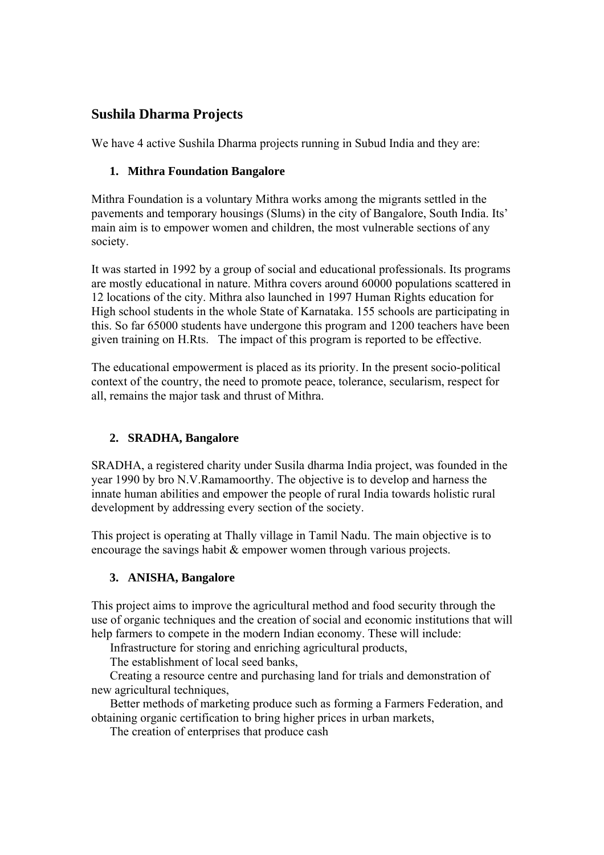# **Sushila Dharma Projects**

We have 4 active Sushila Dharma projects running in Subud India and they are:

### **1. Mithra Foundation Bangalore**

Mithra Foundation is a voluntary Mithra works among the migrants settled in the pavements and temporary housings (Slums) in the city of Bangalore, South India. Its' main aim is to empower women and children, the most vulnerable sections of any society.

It was started in 1992 by a group of social and educational professionals. Its programs are mostly educational in nature. Mithra covers around 60000 populations scattered in 12 locations of the city. Mithra also launched in 1997 Human Rights education for High school students in the whole State of Karnataka. 155 schools are participating in this. So far 65000 students have undergone this program and 1200 teachers have been given training on H.Rts. The impact of this program is reported to be effective.

The educational empowerment is placed as its priority. In the present socio-political context of the country, the need to promote peace, tolerance, secularism, respect for all, remains the major task and thrust of Mithra.

# **2. SRADHA, Bangalore**

SRADHA, a registered charity under Susila dharma India project, was founded in the year 1990 by bro N.V.Ramamoorthy. The objective is to develop and harness the innate human abilities and empower the people of rural India towards holistic rural development by addressing every section of the society.

This project is operating at Thally village in Tamil Nadu. The main objective is to encourage the savings habit & empower women through various projects.

# **3. ANISHA, Bangalore**

This project aims to improve the agricultural method and food security through the use of organic techniques and the creation of social and economic institutions that will help farmers to compete in the modern Indian economy. These will include:

Infrastructure for storing and enriching agricultural products,

The establishment of local seed banks,

 Creating a resource centre and purchasing land for trials and demonstration of new agricultural techniques,

 Better methods of marketing produce such as forming a Farmers Federation, and obtaining organic certification to bring higher prices in urban markets,

The creation of enterprises that produce cash